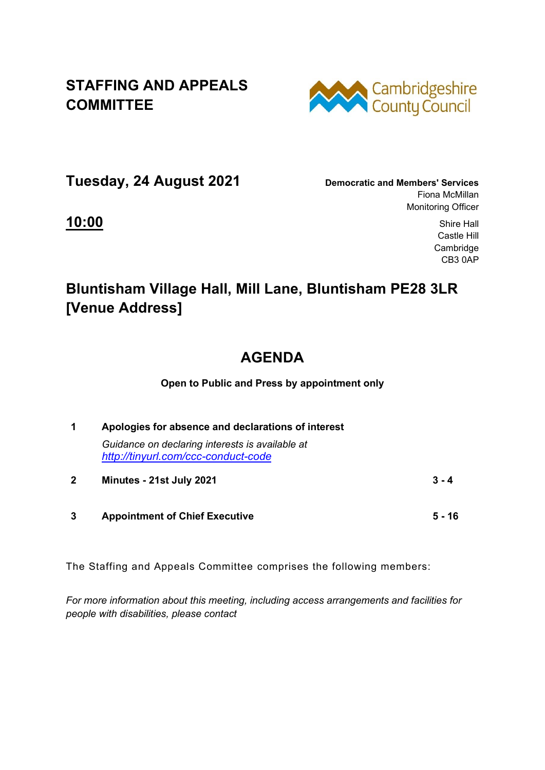## **STAFFING AND APPEALS COMMITTEE**



**Tuesday, 24 August 2021 Democratic and Members' Services**

Fiona McMillan Monitoring Officer

**10:00** Shire Hall Castle Hill Cambridge CB3 0AP

## **Bluntisham Village Hall, Mill Lane, Bluntisham PE28 3LR [Venue Address]**

## **AGENDA**

**Open to Public and Press by appointment only** 

|              | Apologies for absence and declarations of interest                                     |  |
|--------------|----------------------------------------------------------------------------------------|--|
|              | Guidance on declaring interests is available at<br>http://tinyurl.com/ccc-conduct-code |  |
| $\mathbf{2}$ | Minutes - 21st July 2021<br>$3 - 4$                                                    |  |

**3 Appointment of Chief Executive 5 - 16** 

The Staffing and Appeals Committee comprises the following members:

*For more information about this meeting, including access arrangements and facilities for people with disabilities, please contact*